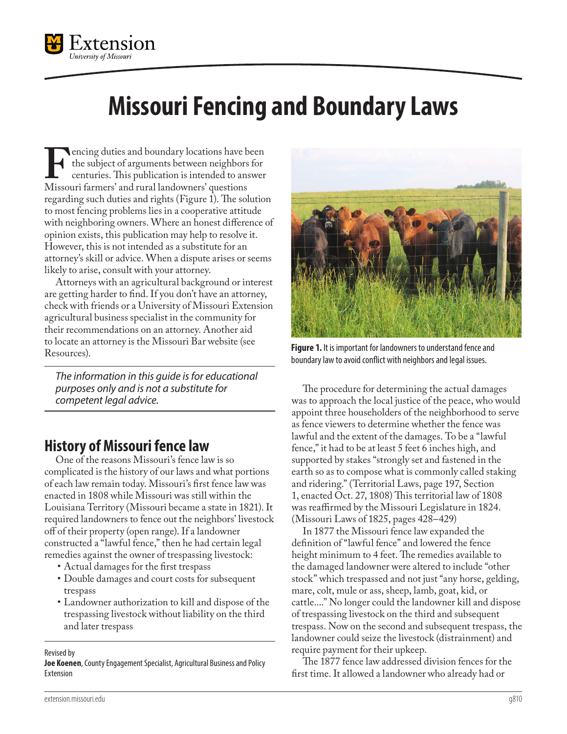

# **Missouri Fencing and Boundary Laws**

Fencing duties and boundary locations have been<br>the subject of arguments between neighbors for<br>centuries. This publication is intended to answer<br>Missouri farmers' and rural landowners' questions the subject of arguments between neighbors for centuries. This publication is intended to answer regarding such duties and rights (Figure 1). The solution to most fencing problems lies in a cooperative attitude with neighboring owners. Where an honest difference of opinion exists, this publication may help to resolve it. However, this is not intended as a substitute for an attorney's skill or advice. When a dispute arises or seems likely to arise, consult with your attorney.

Attorneys with an agricultural background or interest are getting harder to find. If you don't have an attorney, check with friends or a University of Missouri Extension agricultural business specialist in the community for their recommendations on an attorney. Another aid to locate an attorney is the Missouri Bar website (see Resources).

*The information in this guide is for educational purposes only and is not a substitute for competent legal advice.*

## **History of Missouri fence law**

One of the reasons Missouri's fence law is so complicated is the history of our laws and what portions of each law remain today. Missouri's first fence law was enacted in 1808 while Missouri was still within the Louisiana Territory (Missouri became a state in 1821). It required landowners to fence out the neighbors' livestock off of their property (open range). If a landowner constructed a "lawful fence," then he had certain legal remedies against the owner of trespassing livestock:

- Actual damages for the first trespass
- Double damages and court costs for subsequent trespass
- Landowner authorization to kill and dispose of the trespassing livestock without liability on the third and later trespass

Revised by

**Joe Koenen**, County Engagement Specialist, Agricultural Business and Policy Extension



**Figure 1.** It is important for landowners to understand fence and boundary law to avoid conflict with neighbors and legal issues.

The procedure for determining the actual damages was to approach the local justice of the peace, who would appoint three householders of the neighborhood to serve as fence viewers to determine whether the fence was lawful and the extent of the damages. To be a "lawful fence," it had to be at least 5 feet 6 inches high, and supported by stakes "strongly set and fastened in the earth so as to compose what is commonly called staking and ridering." (Territorial Laws, page 197, Section 1, enacted Oct. 27, 1808) This territorial law of 1808 was reaffirmed by the Missouri Legislature in 1824. (Missouri Laws of 1825, pages 428–429)

In 1877 the Missouri fence law expanded the definition of "lawful fence" and lowered the fence height minimum to 4 feet. The remedies available to the damaged landowner were altered to include "other stock" which trespassed and not just "any horse, gelding, mare, colt, mule or ass, sheep, lamb, goat, kid, or cattle...." No longer could the landowner kill and dispose of trespassing livestock on the third and subsequent trespass. Now on the second and subsequent trespass, the landowner could seize the livestock (distrainment) and require payment for their upkeep.

The 1877 fence law addressed division fences for the first time. It allowed a landowner who already had or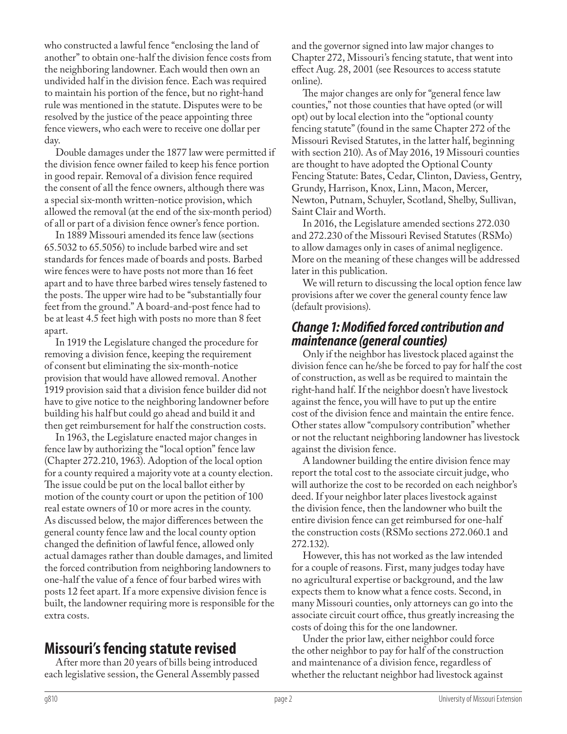who constructed a lawful fence "enclosing the land of another" to obtain one-half the division fence costs from the neighboring landowner. Each would then own an undivided half in the division fence. Each was required to maintain his portion of the fence, but no right-hand rule was mentioned in the statute. Disputes were to be resolved by the justice of the peace appointing three fence viewers, who each were to receive one dollar per day.

Double damages under the 1877 law were permitted if the division fence owner failed to keep his fence portion in good repair. Removal of a division fence required the consent of all the fence owners, although there was a special six-month written-notice provision, which allowed the removal (at the end of the six-month period) of all or part of a division fence owner's fence portion.

In 1889 Missouri amended its fence law (sections 65.5032 to 65.5056) to include barbed wire and set standards for fences made of boards and posts. Barbed wire fences were to have posts not more than 16 feet apart and to have three barbed wires tensely fastened to the posts. The upper wire had to be "substantially four feet from the ground." A board-and-post fence had to be at least 4.5 feet high with posts no more than 8 feet apart.

In 1919 the Legislature changed the procedure for removing a division fence, keeping the requirement of consent but eliminating the six-month-notice provision that would have allowed removal. Another 1919 provision said that a division fence builder did not have to give notice to the neighboring landowner before building his half but could go ahead and build it and then get reimbursement for half the construction costs.

In 1963, the Legislature enacted major changes in fence law by authorizing the "local option" fence law (Chapter 272.210, 1963). Adoption of the local option for a county required a majority vote at a county election. The issue could be put on the local ballot either by motion of the county court or upon the petition of 100 real estate owners of 10 or more acres in the county. As discussed below, the major differences between the general county fence law and the local county option changed the definition of lawful fence, allowed only actual damages rather than double damages, and limited the forced contribution from neighboring landowners to one-half the value of a fence of four barbed wires with posts 12 feet apart. If a more expensive division fence is built, the landowner requiring more is responsible for the extra costs.

## **Missouri's fencing statute revised**

After more than 20 years of bills being introduced each legislative session, the General Assembly passed and the governor signed into law major changes to Chapter 272, Missouri's fencing statute, that went into effect Aug. 28, 2001 (see Resources to access statute online).

The major changes are only for "general fence law counties," not those counties that have opted (or will opt) out by local election into the "optional county fencing statute" (found in the same Chapter 272 of the Missouri Revised Statutes, in the latter half, beginning with section 210). As of May 2016, 19 Missouri counties are thought to have adopted the Optional County Fencing Statute: Bates, Cedar, Clinton, Daviess, Gentry, Grundy, Harrison, Knox, Linn, Macon, Mercer, Newton, Putnam, Schuyler, Scotland, Shelby, Sullivan, Saint Clair and Worth.

In 2016, the Legislature amended sections 272.030 and 272.230 of the Missouri Revised Statutes (RSMo) to allow damages only in cases of animal negligence. More on the meaning of these changes will be addressed later in this publication.

We will return to discussing the local option fence law provisions after we cover the general county fence law (default provisions).

#### *Change 1: Modified forced contribution and maintenance (general counties)*

Only if the neighbor has livestock placed against the division fence can he/she be forced to pay for half the cost of construction, as well as be required to maintain the right-hand half. If the neighbor doesn't have livestock against the fence, you will have to put up the entire cost of the division fence and maintain the entire fence. Other states allow "compulsory contribution" whether or not the reluctant neighboring landowner has livestock against the division fence.

A landowner building the entire division fence may report the total cost to the associate circuit judge, who will authorize the cost to be recorded on each neighbor's deed. If your neighbor later places livestock against the division fence, then the landowner who built the entire division fence can get reimbursed for one-half the construction costs (RSMo sections 272.060.1 and 272.132).

However, this has not worked as the law intended for a couple of reasons. First, many judges today have no agricultural expertise or background, and the law expects them to know what a fence costs. Second, in many Missouri counties, only attorneys can go into the associate circuit court office, thus greatly increasing the costs of doing this for the one landowner.

Under the prior law, either neighbor could force the other neighbor to pay for half of the construction and maintenance of a division fence, regardless of whether the reluctant neighbor had livestock against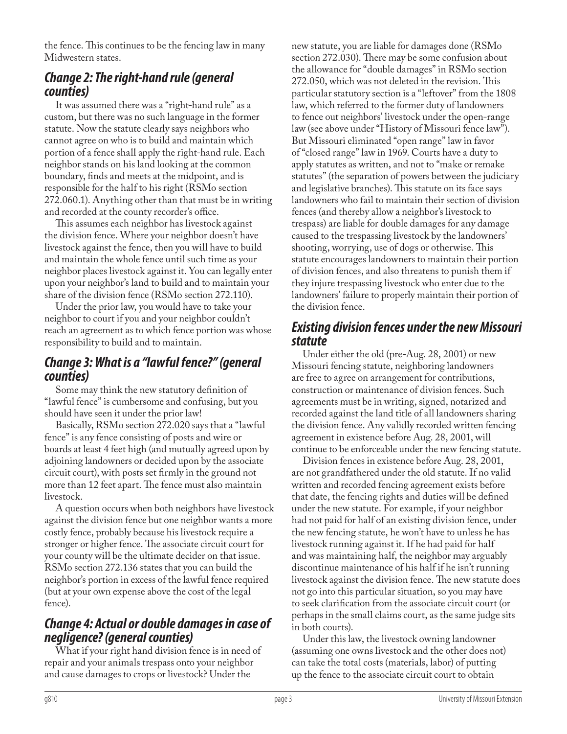the fence. This continues to be the fencing law in many Midwestern states.

## *Change 2: The right-hand rule (general counties)*

It was assumed there was a "right-hand rule" as a custom, but there was no such language in the former statute. Now the statute clearly says neighbors who cannot agree on who is to build and maintain which portion of a fence shall apply the right-hand rule. Each neighbor stands on his land looking at the common boundary, finds and meets at the midpoint, and is responsible for the half to his right (RSMo section 272.060.1). Anything other than that must be in writing and recorded at the county recorder's office.

This assumes each neighbor has livestock against the division fence. Where your neighbor doesn't have livestock against the fence, then you will have to build and maintain the whole fence until such time as your neighbor places livestock against it. You can legally enter upon your neighbor's land to build and to maintain your share of the division fence (RSMo section 272.110).

Under the prior law, you would have to take your neighbor to court if you and your neighbor couldn't reach an agreement as to which fence portion was whose responsibility to build and to maintain.

### *Change 3: What is a "lawful fence?" (general counties)*

Some may think the new statutory definition of "lawful fence" is cumbersome and confusing, but you should have seen it under the prior law!

Basically, RSMo section 272.020 says that a "lawful fence" is any fence consisting of posts and wire or boards at least 4 feet high (and mutually agreed upon by adjoining landowners or decided upon by the associate circuit court), with posts set firmly in the ground not more than 12 feet apart. The fence must also maintain livestock.

A question occurs when both neighbors have livestock against the division fence but one neighbor wants a more costly fence, probably because his livestock require a stronger or higher fence. The associate circuit court for your county will be the ultimate decider on that issue. RSMo section 272.136 states that you can build the neighbor's portion in excess of the lawful fence required (but at your own expense above the cost of the legal fence).

## *Change 4: Actual or double damages in case of negligence? (general counties)*

What if your right hand division fence is in need of repair and your animals trespass onto your neighbor and cause damages to crops or livestock? Under the

new statute, you are liable for damages done (RSMo section 272.030). There may be some confusion about the allowance for "double damages" in RSMo section 272.050, which was not deleted in the revision. This particular statutory section is a "leftover" from the 1808 law, which referred to the former duty of landowners to fence out neighbors' livestock under the open-range law (see above under "History of Missouri fence law"). But Missouri eliminated "open range" law in favor of "closed range" law in 1969. Courts have a duty to apply statutes as written, and not to "make or remake statutes" (the separation of powers between the judiciary and legislative branches). This statute on its face says landowners who fail to maintain their section of division fences (and thereby allow a neighbor's livestock to trespass) are liable for double damages for any damage caused to the trespassing livestock by the landowners' shooting, worrying, use of dogs or otherwise. This statute encourages landowners to maintain their portion of division fences, and also threatens to punish them if they injure trespassing livestock who enter due to the landowners' failure to properly maintain their portion of the division fence.

### *Existing division fences under the new Missouri statute*

Under either the old (pre-Aug. 28, 2001) or new Missouri fencing statute, neighboring landowners are free to agree on arrangement for contributions, construction or maintenance of division fences. Such agreements must be in writing, signed, notarized and recorded against the land title of all landowners sharing the division fence. Any validly recorded written fencing agreement in existence before Aug. 28, 2001, will continue to be enforceable under the new fencing statute.

Division fences in existence before Aug. 28, 2001, are not grandfathered under the old statute. If no valid written and recorded fencing agreement exists before that date, the fencing rights and duties will be defined under the new statute. For example, if your neighbor had not paid for half of an existing division fence, under the new fencing statute, he won't have to unless he has livestock running against it. If he had paid for half and was maintaining half, the neighbor may arguably discontinue maintenance of his half if he isn't running livestock against the division fence. The new statute does not go into this particular situation, so you may have to seek clarification from the associate circuit court (or perhaps in the small claims court, as the same judge sits in both courts).

Under this law, the livestock owning landowner (assuming one owns livestock and the other does not) can take the total costs (materials, labor) of putting up the fence to the associate circuit court to obtain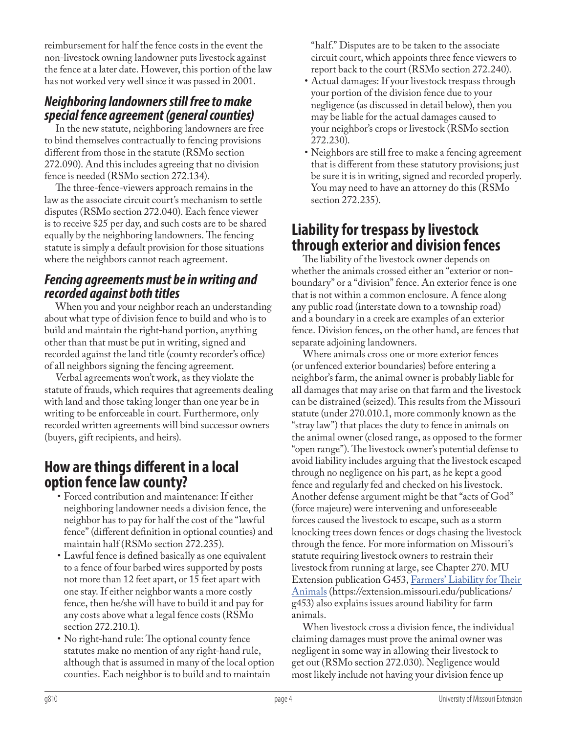reimbursement for half the fence costs in the event the non-livestock owning landowner puts livestock against the fence at a later date. However, this portion of the law has not worked very well since it was passed in 2001.

## *Neighboring landowners still free to make special fence agreement (general counties)*

In the new statute, neighboring landowners are free to bind themselves contractually to fencing provisions different from those in the statute (RSMo section 272.090). And this includes agreeing that no division fence is needed (RSMo section 272.134).

The three-fence-viewers approach remains in the law as the associate circuit court's mechanism to settle disputes (RSMo section 272.040). Each fence viewer is to receive \$25 per day, and such costs are to be shared equally by the neighboring landowners. The fencing statute is simply a default provision for those situations where the neighbors cannot reach agreement.

## *Fencing agreements must be in writing and recorded against both titles*

When you and your neighbor reach an understanding about what type of division fence to build and who is to build and maintain the right-hand portion, anything other than that must be put in writing, signed and recorded against the land title (county recorder's office) of all neighbors signing the fencing agreement.

Verbal agreements won't work, as they violate the statute of frauds, which requires that agreements dealing with land and those taking longer than one year be in writing to be enforceable in court. Furthermore, only recorded written agreements will bind successor owners (buyers, gift recipients, and heirs).

## **How are things different in a local option fence law county?**

- Forced contribution and maintenance: If either neighboring landowner needs a division fence, the neighbor has to pay for half the cost of the "lawful fence" (different definition in optional counties) and maintain half (RSMo section 272.235).
- Lawful fence is defined basically as one equivalent to a fence of four barbed wires supported by posts not more than 12 feet apart, or 15 feet apart with one stay. If either neighbor wants a more costly fence, then he/she will have to build it and pay for any costs above what a legal fence costs (RSMo section 272.210.1).
- No right-hand rule: The optional county fence statutes make no mention of any right-hand rule, although that is assumed in many of the local option counties. Each neighbor is to build and to maintain

"half." Disputes are to be taken to the associate circuit court, which appoints three fence viewers to report back to the court (RSMo section 272.240).

- Actual damages: If your livestock trespass through your portion of the division fence due to your negligence (as discussed in detail below), then you may be liable for the actual damages caused to your neighbor's crops or livestock (RSMo section 272.230).
- Neighbors are still free to make a fencing agreement that is different from these statutory provisions; just be sure it is in writing, signed and recorded properly. You may need to have an attorney do this (RSMo section 272.235).

## **Liability for trespass by livestock through exterior and division fences**

The liability of the livestock owner depends on whether the animals crossed either an "exterior or nonboundary" or a "division" fence. An exterior fence is one that is not within a common enclosure. A fence along any public road (interstate down to a township road) and a boundary in a creek are examples of an exterior fence. Division fences, on the other hand, are fences that separate adjoining landowners.

Where animals cross one or more exterior fences (or unfenced exterior boundaries) before entering a neighbor's farm, the animal owner is probably liable for all damages that may arise on that farm and the livestock can be distrained (seized). This results from the Missouri statute (under 270.010.1, more commonly known as the "stray law") that places the duty to fence in animals on the animal owner (closed range, as opposed to the former "open range"). The livestock owner's potential defense to avoid liability includes arguing that the livestock escaped through no negligence on his part, as he kept a good fence and regularly fed and checked on his livestock. Another defense argument might be that "acts of God" (force majeure) were intervening and unforeseeable forces caused the livestock to escape, such as a storm knocking trees down fences or dogs chasing the livestock through the fence. For more information on Missouri's statute requiring livestock owners to restrain their livestock from running at large, see Chapter 270. MU Extension publication G453, [Farmers' Liability for Their](https://extension.missouri.edu/publications/g453)  [Animals](https://extension.missouri.edu/publications/g453) (https://extension.missouri.edu/publications/ g453) also explains issues around liability for farm animals.

When livestock cross a division fence, the individual claiming damages must prove the animal owner was negligent in some way in allowing their livestock to get out (RSMo section 272.030). Negligence would most likely include not having your division fence up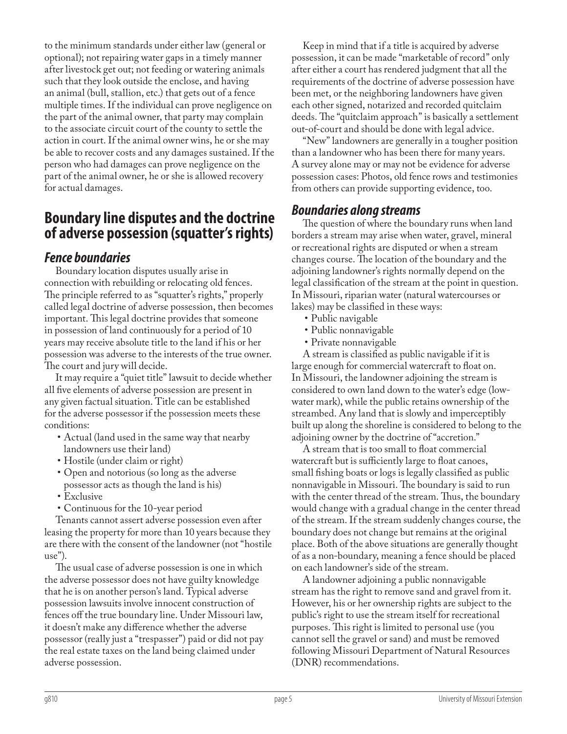to the minimum standards under either law (general or optional); not repairing water gaps in a timely manner after livestock get out; not feeding or watering animals such that they look outside the enclose, and having an animal (bull, stallion, etc.) that gets out of a fence multiple times. If the individual can prove negligence on the part of the animal owner, that party may complain to the associate circuit court of the county to settle the action in court. If the animal owner wins, he or she may be able to recover costs and any damages sustained. If the person who had damages can prove negligence on the part of the animal owner, he or she is allowed recovery for actual damages.

## **Boundary line disputes and the doctrine of adverse possession (squatter's rights)**

## *Fence boundaries*

Boundary location disputes usually arise in connection with rebuilding or relocating old fences. The principle referred to as "squatter's rights," properly called legal doctrine of adverse possession, then becomes important. This legal doctrine provides that someone in possession of land continuously for a period of 10 years may receive absolute title to the land if his or her possession was adverse to the interests of the true owner. The court and jury will decide.

It may require a "quiet title" lawsuit to decide whether all five elements of adverse possession are present in any given factual situation. Title can be established for the adverse possessor if the possession meets these conditions:

- Actual (land used in the same way that nearby landowners use their land)
- Hostile (under claim or right)
- Open and notorious (so long as the adverse possessor acts as though the land is his)
- Exclusive
- Continuous for the 10-year period

Tenants cannot assert adverse possession even after leasing the property for more than 10 years because they are there with the consent of the landowner (not "hostile use").

The usual case of adverse possession is one in which the adverse possessor does not have guilty knowledge that he is on another person's land. Typical adverse possession lawsuits involve innocent construction of fences off the true boundary line. Under Missouri law, it doesn't make any difference whether the adverse possessor (really just a "trespasser") paid or did not pay the real estate taxes on the land being claimed under adverse possession.

Keep in mind that if a title is acquired by adverse possession, it can be made "marketable of record" only after either a court has rendered judgment that all the requirements of the doctrine of adverse possession have been met, or the neighboring landowners have given each other signed, notarized and recorded quitclaim deeds. The "quitclaim approach" is basically a settlement out-of-court and should be done with legal advice.

"New" landowners are generally in a tougher position than a landowner who has been there for many years. A survey alone may or may not be evidence for adverse possession cases: Photos, old fence rows and testimonies from others can provide supporting evidence, too.

## *Boundaries along streams*

The question of where the boundary runs when land borders a stream may arise when water, gravel, mineral or recreational rights are disputed or when a stream changes course. The location of the boundary and the adjoining landowner's rights normally depend on the legal classification of the stream at the point in question. In Missouri, riparian water (natural watercourses or lakes) may be classified in these ways:

- Public navigable
- Public nonnavigable
- Private nonnavigable

A stream is classified as public navigable if it is large enough for commercial watercraft to float on. In Missouri, the landowner adjoining the stream is considered to own land down to the water's edge (lowwater mark), while the public retains ownership of the streambed. Any land that is slowly and imperceptibly built up along the shoreline is considered to belong to the adjoining owner by the doctrine of "accretion."

A stream that is too small to float commercial watercraft but is sufficiently large to float canoes, small fishing boats or logs is legally classified as public nonnavigable in Missouri. The boundary is said to run with the center thread of the stream. Thus, the boundary would change with a gradual change in the center thread of the stream. If the stream suddenly changes course, the boundary does not change but remains at the original place. Both of the above situations are generally thought of as a non-boundary, meaning a fence should be placed on each landowner's side of the stream.

A landowner adjoining a public nonnavigable stream has the right to remove sand and gravel from it. However, his or her ownership rights are subject to the public's right to use the stream itself for recreational purposes. This right is limited to personal use (you cannot sell the gravel or sand) and must be removed following Missouri Department of Natural Resources (DNR) recommendations.